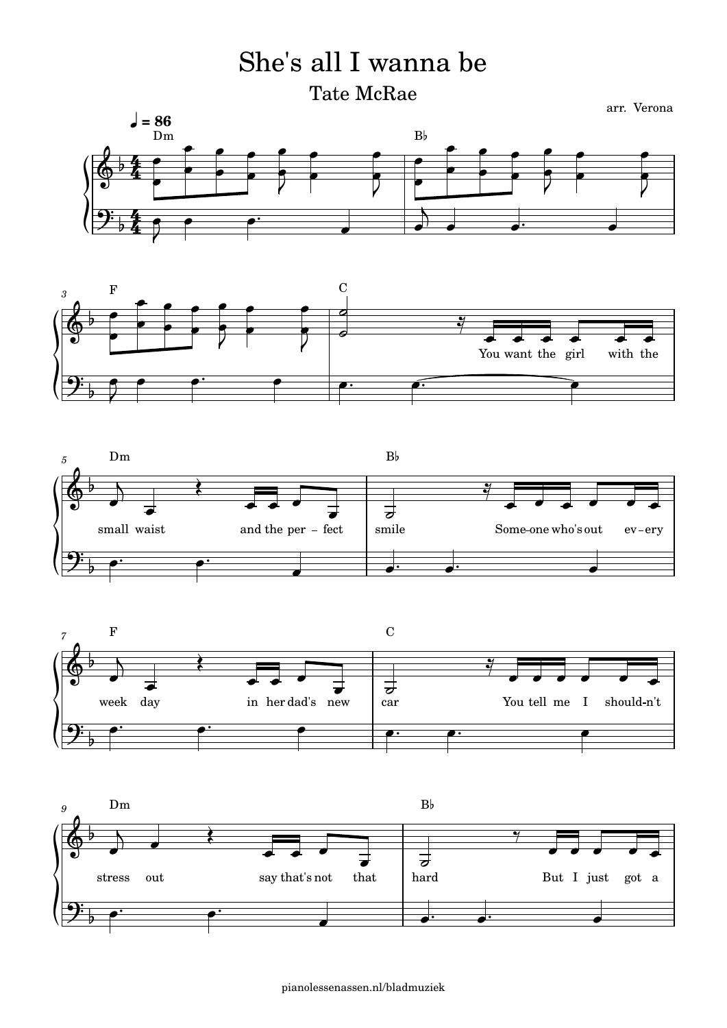## She's all I wanna be

Tate McRae









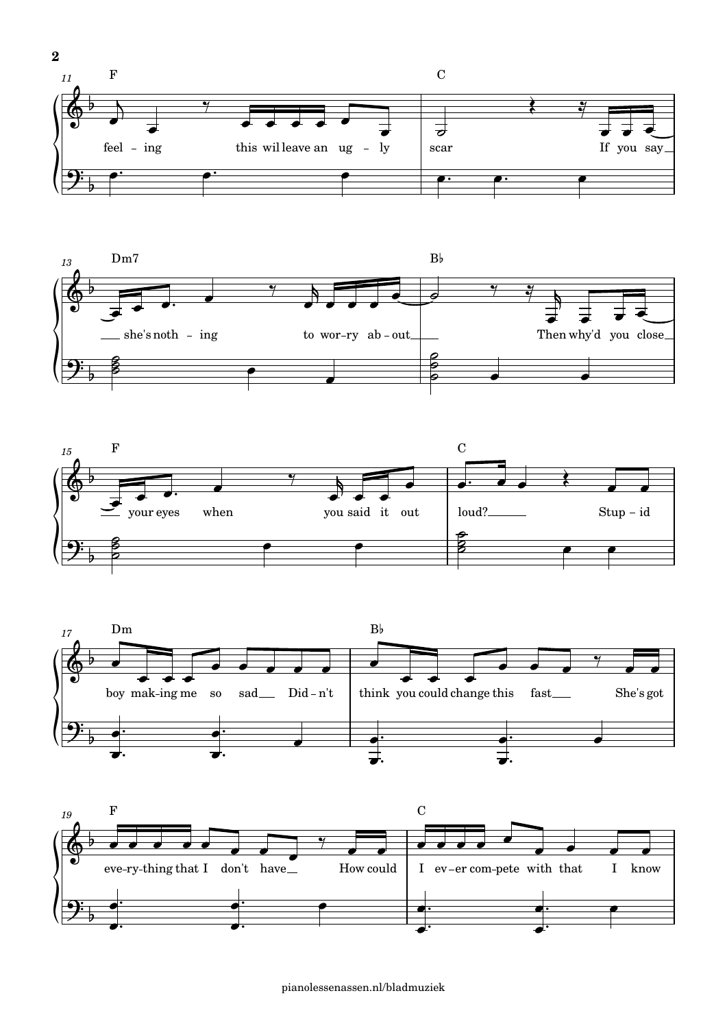







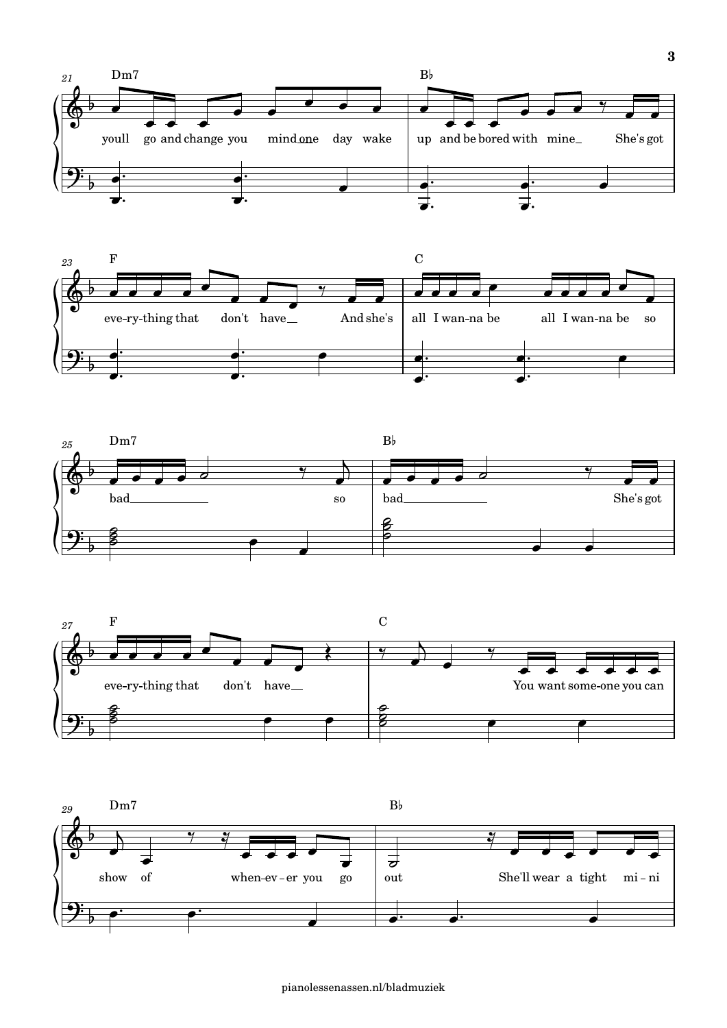







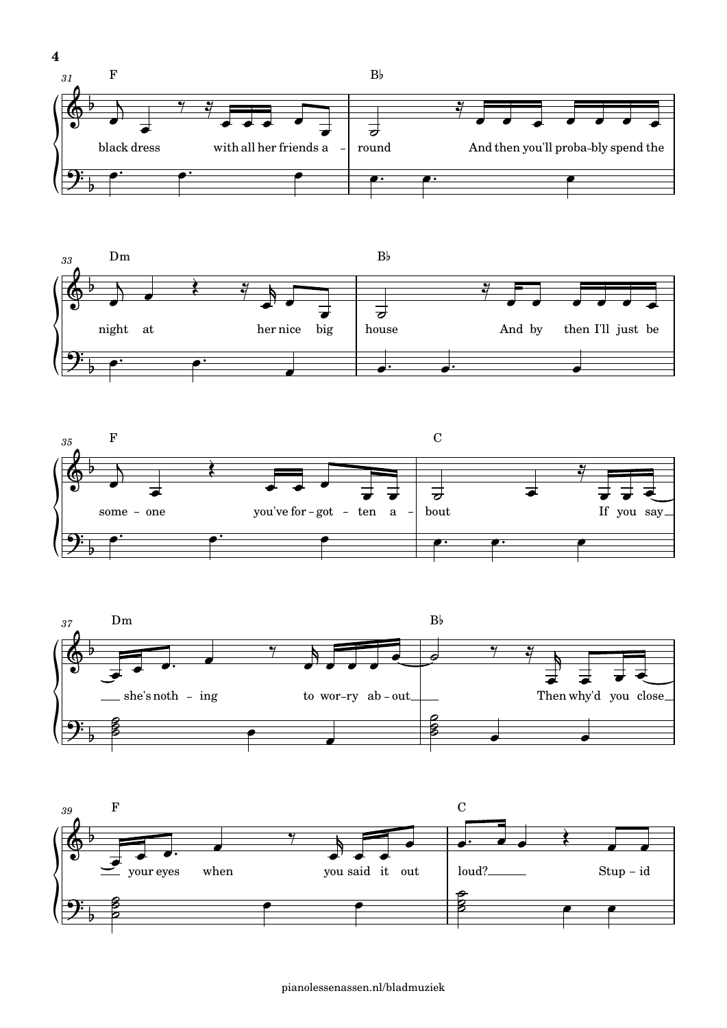







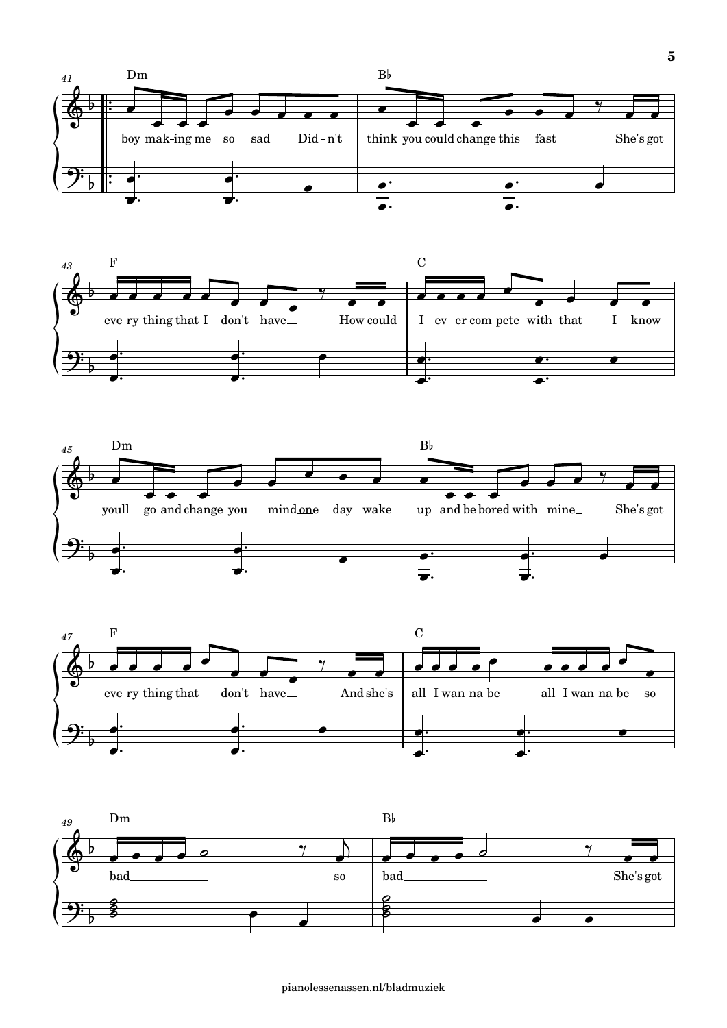